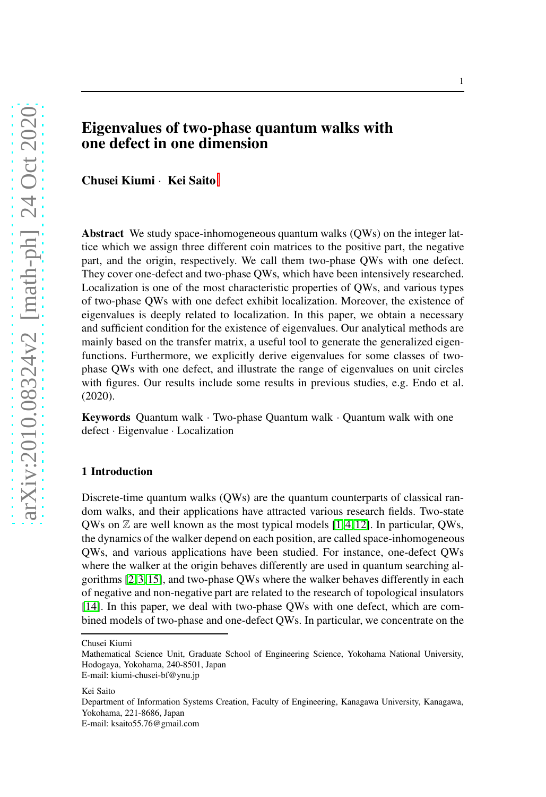# Eigenvalues of two-phase quantum walks with one defect in one dimension

Chusei Kiumi · Kei Saito

Abstract We study space-inhomogeneous quantum walks (QWs) on the integer lattice which we assign three different coin matrices to the positive part, the negative part, and the origin, respectively. We call them two-phase QWs with one defect. They cover one-defect and two-phase QWs, which have been intensively researched. Localization is one of the most characteristic properties of QWs, and various types of two-phase QWs with one defect exhibit localization. Moreover, the existence of eigenvalues is deeply related to localization. In this paper, we obtain a necessary and sufficient condition for the existence of eigenvalues. Our analytical methods are mainly based on the transfer matrix, a useful tool to generate the generalized eigenfunctions. Furthermore, we explicitly derive eigenvalues for some classes of twophase QWs with one defect, and illustrate the range of eigenvalues on unit circles with figures. Our results include some results in previous studies, e.g. Endo et al. (2020).

**Keywords** Quantum walk  $\cdot$  Two-phase Quantum walk  $\cdot$  Quantum walk with one defect · Eigenvalue · Localization

# 1 Introduction

Discrete-time quantum walks (QWs) are the quantum counterparts of classical random walks, and their applications have attracted various research fields. Two-state QWs on  $\mathbb Z$  are well known as the most typical models [\[1,](#page-9-0)[4,](#page-9-1)[12\]](#page-9-2). In particular, QWs, the dynamics of the walker depend on each position, are called space-inhomogeneous QWs, and various applications have been studied. For instance, one-defect QWs where the walker at the origin behaves differently are used in quantum searching algorithms [\[2,](#page-9-3)[3,](#page-9-4)[15\]](#page-9-5), and two-phase QWs where the walker behaves differently in each of negative and non-negative part are related to the research of topological insulators [\[14\]](#page-9-6). In this paper, we deal with two-phase QWs with one defect, which are combined models of two-phase and one-defect QWs. In particular, we concentrate on the

Chusei Kiumi

Mathematical Science Unit, Graduate School of Engineering Science, Yokohama National University, Hodogaya, Yokohama, 240-8501, Japan

E-mail: kiumi-chusei-bf@ynu.jp

Kei Saito

Department of Information Systems Creation, Faculty of Engineering, Kanagawa University, Kanagawa, Yokohama, 221-8686, Japan

E-mail: ksaito55.76@gmail.com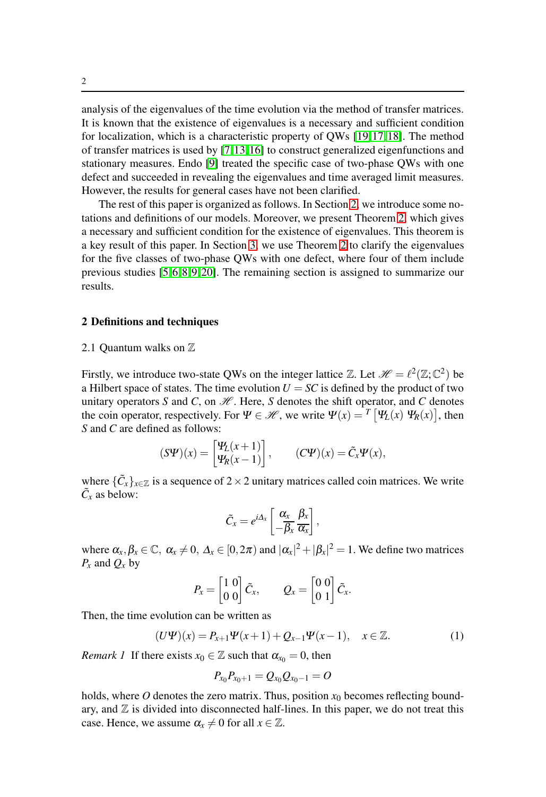analysis of the eigenvalues of the time evolution via the method of transfer matrices. It is known that the existence of eigenvalues is a necessary and sufficient condition for localization, which is a characteristic property of QWs [\[19,](#page-10-0)[17,](#page-10-1)[18\]](#page-10-2). The method of transfer matrices is used by [\[7,](#page-9-7)[13,](#page-9-8)[16\]](#page-9-9) to construct generalized eigenfunctions and stationary measures. Endo [\[9\]](#page-9-10) treated the specific case of two-phase QWs with one defect and succeeded in revealing the eigenvalues and time averaged limit measures. However, the results for general cases have not been clarified.

The rest of this paper is organized as follows. In Section [2,](#page-1-0) we introduce some notations and definitions of our models. Moreover, we present Theorem [2,](#page-4-0) which gives a necessary and sufficient condition for the existence of eigenvalues. This theorem is a key result of this paper. In Section [3,](#page-5-0) we use Theorem [2](#page-4-0) to clarify the eigenvalues for the five classes of two-phase QWs with one defect, where four of them include previous studies [\[5,](#page-9-11)[6,](#page-9-12)[8,](#page-9-13)[9,](#page-9-10)[20\]](#page-10-3). The remaining section is assigned to summarize our results.

# <span id="page-1-0"></span>2 Definitions and techniques

#### 2.1 Ouantum walks on  $\mathbb Z$

Firstly, we introduce two-state QWs on the integer lattice  $\mathbb{Z}$ . Let  $\mathscr{H} = \ell^2(\mathbb{Z}; \mathbb{C}^2)$  be a Hilbert space of states. The time evolution  $U = SC$  is defined by the product of two unitary operators  $S$  and  $C$ , on  $H$ . Here,  $S$  denotes the shift operator, and  $C$  denotes the coin operator, respectively. For  $\Psi \in \mathcal{H}$ , we write  $\Psi(x) = T \Psi_L(x) \Psi_R(x)$ , then *S* and *C* are defined as follows:

$$
(\mathcal{S}\Psi)(x) = \begin{bmatrix} \Psi_L(x+1) \\ \Psi_R(x-1) \end{bmatrix}, \qquad (\mathcal{C}\Psi)(x) = \tilde{C}_x \Psi(x),
$$

where  $\{\tilde{C}_x\}_{x \in \mathbb{Z}}$  is a sequence of 2 × 2 unitary matrices called coin matrices. We write  $\tilde{C}_x$  as below:

$$
\tilde{C}_x=e^{i\Delta_x}\left[\frac{\alpha_x}{-\beta_x}\frac{\beta_x}{\alpha_x}\right],
$$

where  $\alpha_x, \beta_x \in \mathbb{C}, \ \alpha_x \neq 0, \ \Delta_x \in [0, 2\pi)$  and  $|\alpha_x|^2 + |\beta_x|^2 = 1$ . We define two matrices  $P_x$  and  $Q_x$  by

$$
P_x = \begin{bmatrix} 1 & 0 \\ 0 & 0 \end{bmatrix} \tilde{C}_x, \qquad Q_x = \begin{bmatrix} 0 & 0 \\ 0 & 1 \end{bmatrix} \tilde{C}_x.
$$

Then, the time evolution can be written as

$$
(U\Psi)(x) = P_{x+1}\Psi(x+1) + Q_{x-1}\Psi(x-1), \quad x \in \mathbb{Z}.
$$
 (1)

*Remark 1* If there exists  $x_0 \in \mathbb{Z}$  such that  $\alpha_{x_0} = 0$ , then

$$
P_{x_0}P_{x_0+1}=Q_{x_0}Q_{x_0-1}=O
$$

holds, where  $O$  denotes the zero matrix. Thus, position  $x_0$  becomes reflecting boundary, and  $\mathbb Z$  is divided into disconnected half-lines. In this paper, we do not treat this case. Hence, we assume  $\alpha_x \neq 0$  for all  $x \in \mathbb{Z}$ .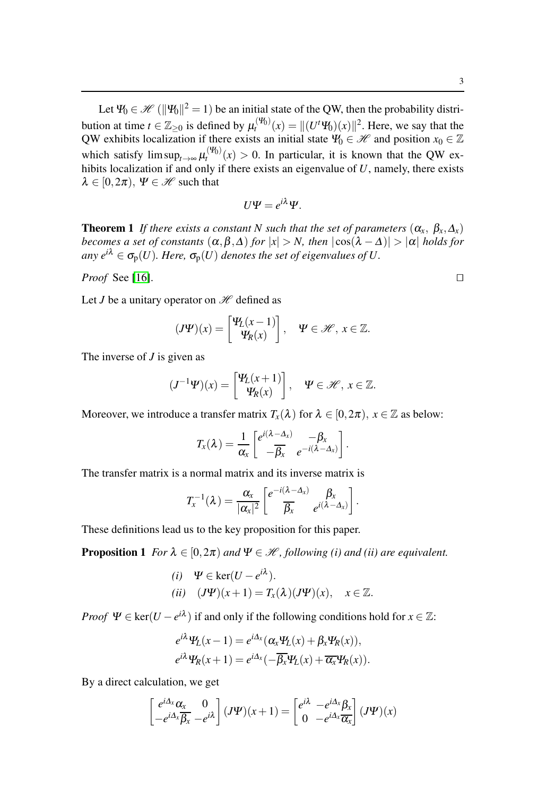Let  $\Psi_0 \in \mathscr{H} (\|\Psi_0\|^2 = 1)$  be an initial state of the QW, then the probability distribution at time  $t \in \mathbb{Z}_{\geq 0}$  is defined by  $\mu_t^{(\Psi_0)}(x) = ||(U^t \Psi_0)(x)||^2$ . Here, we say that the QW exhibits localization if there exists an initial state  $\Psi_0 \in \mathcal{H}$  and position  $x_0 \in \mathbb{Z}$ which satisfy  $\limsup_{t\to\infty} \mu_t^{(\Psi_0)}(x) > 0$ . In particular, it is known that the QW exhibits localization if and only if there exists an eigenvalue of  $U$ , namely, there exists  $\lambda \in [0, 2\pi)$ ,  $\Psi \in \mathcal{H}$  such that

$$
U\Psi=e^{i\lambda}\Psi.
$$

**Theorem 1** *If there exists a constant N such that the set of parameters*  $(\alpha_x, \beta_x, \Delta_x)$ *becomes a set of constants*  $(\alpha, \beta, \Delta)$  *for*  $|x| > N$ *, then*  $|\cos(\lambda - \Delta)| > |\alpha|$  *holds for*  $\alpha$ *any*  $e^{i\lambda} \in \sigma_p(U)$ *. Here,*  $\sigma_p(U)$  *denotes the set of eigenvalues of U.* 

*Proof* See [\[16\]](#page-9-9). □

Let *J* be a unitary operator on  $\mathcal H$  defined as

$$
(\boldsymbol{J}\boldsymbol{\varPsi})(x) = \begin{bmatrix} \boldsymbol{\varPsi}_L(x-1) \\ \boldsymbol{\varPsi}_R(x) \end{bmatrix}, \quad \boldsymbol{\varPsi} \in \mathscr{H}, \ x \in \mathbb{Z}.
$$

The inverse of *J* is given as

$$
(J^{-1}\Psi)(x) = \begin{bmatrix} \Psi_L(x+1) \\ \Psi_R(x) \end{bmatrix}, \quad \Psi \in \mathcal{H}, \ x \in \mathbb{Z}.
$$

Moreover, we introduce a transfer matrix  $T_x(\lambda)$  for  $\lambda \in [0, 2\pi)$ ,  $x \in \mathbb{Z}$  as below:

$$
T_x(\lambda) = \frac{1}{\alpha_x} \begin{bmatrix} e^{i(\lambda - \Delta_x)} & -\beta_x \\ -\overline{\beta_x} & e^{-i(\lambda - \Delta_x)} \end{bmatrix}.
$$

The transfer matrix is a normal matrix and its inverse matrix is

$$
T_{x}^{-1}(\lambda) = \frac{\alpha_{x}}{|\alpha_{x}|^{2}} \left[ e^{-i(\lambda - \Delta_{x})} \frac{\beta_{x}}{\beta_{x}} e^{i(\lambda - \Delta_{x})} \right].
$$

<span id="page-2-0"></span>These definitions lead us to the key proposition for this paper.

**Proposition 1** *For*  $\lambda \in [0, 2\pi)$  *and*  $\Psi \in \mathcal{H}$ *, following (i) and (ii) are equivalent.* 

(i) 
$$
\Psi \in \ker(U - e^{i\lambda}).
$$
  
\n(ii)  $(J\Psi)(x+1) = T_x(\lambda)(J\Psi)(x), \quad x \in \mathbb{Z}.$ 

*Proof*  $\Psi \in \text{ker}(U - e^{i\lambda})$  if and only if the following conditions hold for  $x \in \mathbb{Z}$ :

$$
e^{i\lambda}\Psi_L(x-1) = e^{i\Delta_x}(\alpha_x\Psi_L(x) + \beta_x\Psi_R(x)),
$$
  

$$
e^{i\lambda}\Psi_R(x+1) = e^{i\Delta_x}(-\overline{\beta_x}\Psi_L(x) + \overline{\alpha_x}\Psi_R(x)).
$$

By a direct calculation, we get

$$
\begin{bmatrix} e^{i\Delta_x} \alpha_x & 0\\ -e^{i\Delta_x} \overline{\beta_x} & -e^{i\lambda} \end{bmatrix} (J\Psi)(x+1) = \begin{bmatrix} e^{i\lambda} & -e^{i\Delta_x} \beta_x\\ 0 & -e^{i\Delta_x} \overline{\alpha_x} \end{bmatrix} (J\Psi)(x)
$$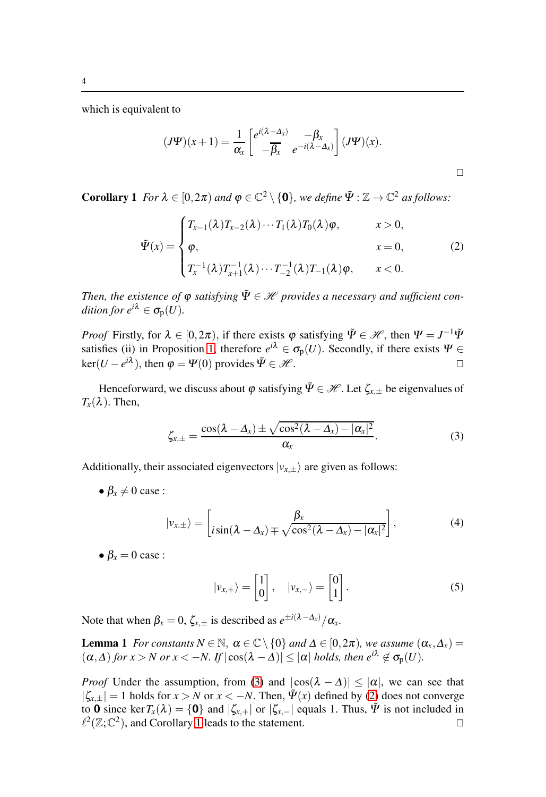which is equivalent to

<span id="page-3-1"></span>
$$
(J\Psi)(x+1) = \frac{1}{\alpha_x} \begin{bmatrix} e^{i(\lambda - \Delta_x)} & -\beta_x \\ -\overline{\beta_x} & e^{-i(\lambda - \Delta_x)} \end{bmatrix} (J\Psi)(x).
$$

<span id="page-3-2"></span>**Corollary 1** *For*  $\lambda \in [0, 2\pi)$  *and*  $\varphi \in \mathbb{C}^2 \setminus \{0\}$ *, we define*  $\tilde{\Psi} : \mathbb{Z} \to \mathbb{C}^2$  *as follows:* 

$$
\tilde{\Psi}(x) = \begin{cases} T_{x-1}(\lambda)T_{x-2}(\lambda)\cdots T_1(\lambda)T_0(\lambda)\varphi, & x > 0, \\ \varphi, & x = 0, \\ T_x^{-1}(\lambda)T_{x+1}^{-1}(\lambda)\cdots T_{-2}^{-1}(\lambda)T_{-1}(\lambda)\varphi, & x < 0. \end{cases}
$$
\n(2)

*Then, the existence of*  $\varphi$  *satisfying*  $\tilde{\Psi} \in \mathcal{H}$  *provides a necessary and sufficient condition for*  $e^{i\lambda} \in \sigma_p(U)$ .

*Proof* Firstly, for  $\lambda \in [0, 2\pi)$ , if there exists  $\varphi$  satisfying  $\tilde{\Psi} \in \mathcal{H}$ , then  $\Psi = J^{-1}\tilde{\Psi}$ satisfies (ii) in Proposition [1,](#page-2-0) therefore  $e^{i\lambda} \in \sigma_p(U)$ . Secondly, if there exists  $\Psi \in$ ker(*U* − *e*<sup>iλ</sup>), then  $\varphi = \Psi(0)$  provides  $\tilde{\Psi} \in \mathcal{H}$ .

Henceforward, we discuss about  $\varphi$  satisfying  $\tilde{\Psi} \in \mathcal{H}$ . Let  $\zeta_{x,\pm}$  be eigenvalues of  $T_{\rm x}(\lambda)$ . Then,

$$
\zeta_{x,\pm} = \frac{\cos(\lambda - \Delta_x) \pm \sqrt{\cos^2(\lambda - \Delta_x) - |\alpha_x|^2}}{\alpha_x}.
$$
\n(3)

Additionally, their associated eigenvectors  $|v_{x,\pm}\rangle$  are given as follows:

•  $\beta_r \neq 0$  case :

$$
|\nu_{x,\pm}\rangle = \left[i\sin(\lambda - \Delta_x) \mp \sqrt{\cos^2(\lambda - \Delta_x) - |\alpha_x|^2}\right],
$$
 (4)

•  $\beta_r = 0$  case :

<span id="page-3-3"></span><span id="page-3-0"></span>
$$
|\nu_{x,+}\rangle = \begin{bmatrix} 1 \\ 0 \end{bmatrix}, \quad |\nu_{x,-}\rangle = \begin{bmatrix} 0 \\ 1 \end{bmatrix}.
$$
 (5)

Note that when  $\beta_x = 0$ ,  $\zeta_{x,\pm}$  is described as  $e^{\pm i(\lambda - \Delta_x)}/\alpha_x$ .

**Lemma 1** *For constants*  $N \in \mathbb{N}$ ,  $\alpha \in \mathbb{C} \setminus \{0\}$  *and*  $\Delta \in [0, 2\pi)$ *, we assume*  $(\alpha_x, \Delta_x)$  $(\alpha, \Delta)$  *for x* > *N or x* < −*N. If*  $|\cos(\lambda - \Delta)| \leq |\alpha|$  *holds, then*  $e^{i\lambda} \notin \sigma_p(U)$ *.* 

*Proof* Under the assumption, from [\(3\)](#page-3-0) and  $|\cos(\lambda - \Delta)| \leq |\alpha|$ , we can see that  $|\zeta_{x,\pm}| = 1$  holds for  $x > N$  or  $x < -N$ . Then,  $\tilde{\Psi}(x)$  defined by [\(2\)](#page-3-1) does not converge to **0** since ker $T_x(\lambda) = \{0\}$  and  $|\zeta_{x,+}|$  or  $|\zeta_{x,-}|$  equals 1. Thus,  $\tilde{\Psi}$  is not included in  $\ell^2(\mathbb{Z}:\mathbb{C}^2)$ , and Corollary 1 leads to the statement.  $\ell^2(\mathbb{Z};\mathbb{C}^2)$ , and Corollary [1](#page-3-2) leads to the statement. □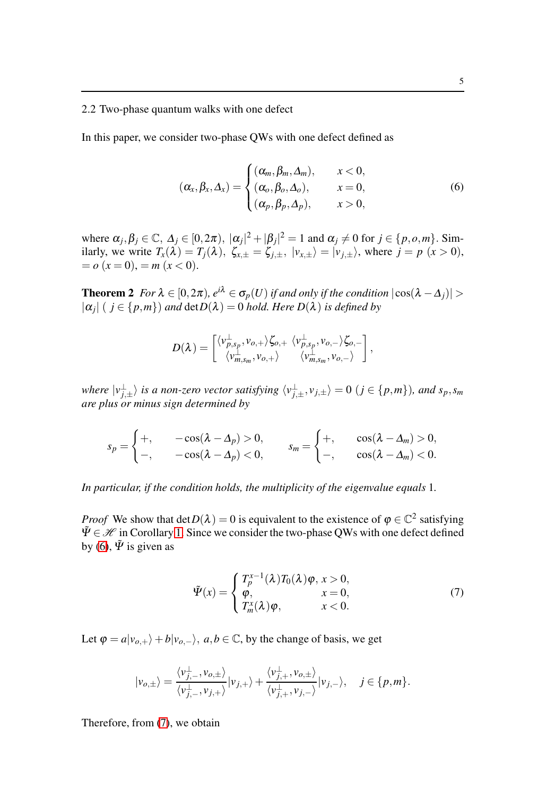## 2.2 Two-phase quantum walks with one defect

In this paper, we consider two-phase QWs with one defect defined as

<span id="page-4-1"></span>
$$
(\alpha_x, \beta_x, \Delta_x) = \begin{cases} (\alpha_m, \beta_m, \Delta_m), & x < 0, \\ (\alpha_o, \beta_o, \Delta_o), & x = 0, \\ (\alpha_p, \beta_p, \Delta_p), & x > 0, \end{cases}
$$
 (6)

where  $\alpha_j, \beta_j \in \mathbb{C}, \Delta_j \in [0, 2\pi), |\alpha_j|^2 + |\beta_j|^2 = 1$  and  $\alpha_j \neq 0$  for  $j \in \{p, o, m\}.$  Similarly, we write  $T_x(\lambda) = T_j(\lambda)$ ,  $\zeta_{x,\pm} = \zeta_{j,\pm}$ ,  $|v_{x,\pm}\rangle = |v_{j,\pm}\rangle$ , where  $j = p$  ( $x > 0$ ),  $= o(x = 0) = m(x < 0).$ 

**Theorem 2** *For*  $\lambda \in [0, 2\pi)$ *,*  $e^{i\lambda} \in \sigma_p(U)$  *if and only if the condition*  $|\cos(\lambda - \Delta_j)| >$  $|\alpha_j|$  (  $j \in \{p,m\}$ ) and  $\det D(\lambda) = 0$  *hold. Here*  $D(\lambda)$  *is defined by* 

<span id="page-4-0"></span>
$$
D(\lambda) = \begin{bmatrix} \langle v_{p,s_p}^{\perp}, v_{o,+} \rangle \zeta_{o,+} & \langle v_{p,s_p}^{\perp}, v_{o,-} \rangle \zeta_{o,-} \\ \langle v_{m,s_m}^{\perp}, v_{o,+} \rangle & \langle v_{m,s_m}^{\perp}, v_{o,-} \rangle \end{bmatrix},
$$

*where*  $|v_{j,\pm}^{\perp}\rangle$  *is a non-zero vector satisfying*  $\langle v_{j,\pm}^{\perp}, v_{j,\pm}\rangle = 0$  ( $j \in \{p,m\}$ )*, and s<sub>p</sub>, s<sub>m</sub> are plus or minus sign determined by*

$$
s_p = \begin{cases} +, & -\cos(\lambda - \Delta_p) > 0, \\ -, & -\cos(\lambda - \Delta_p) < 0, \end{cases} \qquad s_m = \begin{cases} +, & \cos(\lambda - \Delta_m) > 0, \\ -, & \cos(\lambda - \Delta_m) < 0. \end{cases}
$$

*In particular, if the condition holds, the multiplicity of the eigenvalue equals* 1*.*

*Proof* We show that  $detD(\lambda) = 0$  is equivalent to the existence of  $\varphi \in \mathbb{C}^2$  satisfying  $\Psi \in \mathcal{H}$  in Corollary [1.](#page-3-2) Since we consider the two-phase OWs with one defect defined by [\(6\)](#page-4-1),  $\tilde{\Psi}$  is given as

<span id="page-4-2"></span>
$$
\tilde{\Psi}(x) = \begin{cases}\nT_p^{x-1}(\lambda)T_0(\lambda)\varphi, x > 0, \\
\varphi, & x = 0, \\
T_m^x(\lambda)\varphi, & x < 0.\n\end{cases}
$$
\n(7)

Let  $\varphi = a|v_{o,+}\rangle + b|v_{o,-}\rangle$ ,  $a,b \in \mathbb{C}$ , by the change of basis, we get

$$
|\nu_{o,\pm}\rangle = \frac{\langle \nu_{j,-}^{\perp}, \nu_{o,\pm} \rangle}{\langle \nu_{j,-}^{\perp}, \nu_{j,+} \rangle} |\nu_{j,+}\rangle + \frac{\langle \nu_{j,+}^{\perp}, \nu_{o,\pm} \rangle}{\langle \nu_{j,+}^{\perp}, \nu_{j,-} \rangle} |\nu_{j,-}\rangle, \quad j \in \{p,m\}.
$$

Therefore, from [\(7\)](#page-4-2), we obtain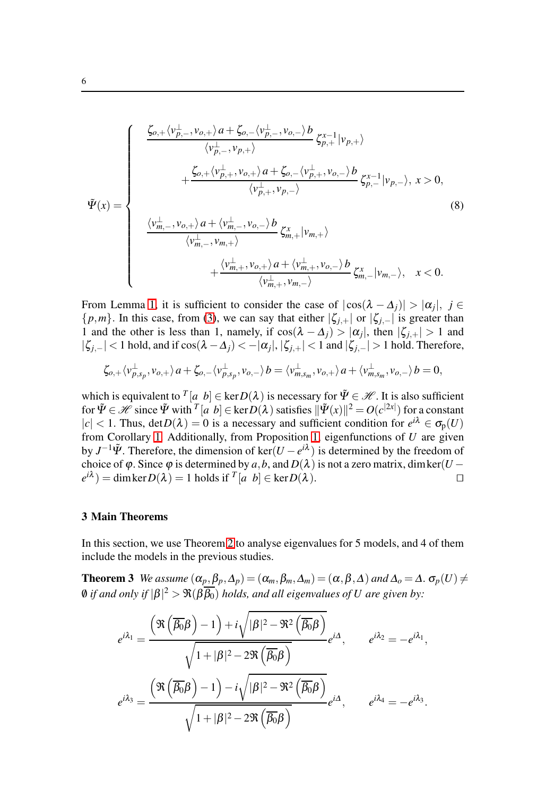$$
\tilde{\Psi}(x) = \begin{cases}\n\frac{\zeta_{o,+} \langle v_{p,-}^{\perp}, v_{o,+} \rangle a + \zeta_{o,-} \langle v_{p,-}^{\perp}, v_{o,-} \rangle b}{\langle v_{p,-}^{\perp}, v_{p,+} \rangle} \zeta_{p,+}^{-1} |v_{p,+} \rangle \\
+ \frac{\zeta_{o,+} \langle v_{p,+}^{\perp}, v_{o,+} \rangle a + \zeta_{o,-} \langle v_{p,+}^{\perp}, v_{o,-} \rangle b}{\langle v_{p,+}^{\perp}, v_{p,-} \rangle} \zeta_{p,-}^{x-1} |v_{p,-} \rangle, \ x > 0, \\
\frac{\langle v_{m,-}^{\perp}, v_{o,+} \rangle a + \langle v_{m,-}^{\perp}, v_{o,-} \rangle b}{\langle v_{m,-}^{\perp}, v_{m,+} \rangle} \zeta_{m,+}^{x} |v_{m,+} \rangle \\
+ \frac{\langle v_{m,+}^{\perp}, v_{o,+} \rangle a + \langle v_{m,+}^{\perp}, v_{o,-} \rangle b}{\langle v_{m,+}^{\perp}, v_{m,-} \rangle} \zeta_{m,-}^{x} |v_{m,-} \rangle, \ x < 0.\n\end{cases}
$$
\n(8)

From Lemma [1,](#page-3-3) it is sufficient to consider the case of  $|\cos(\lambda - \Delta_j)| > |\alpha_j|, j \in$  $\{p,m\}$ . In this case, from [\(3\)](#page-3-0), we can say that either  $|\zeta_{j,+}|$  or  $|\zeta_{j,-}|$  is greater than 1 and the other is less than 1, namely, if  $\cos(\lambda - \Delta_j) > |\alpha_j|$ , then  $|\zeta_{j,+}| > 1$  and  $| \zeta_{j,-} |$  < 1 hold, and if cos( $\lambda - \Delta_j$ ) < − $|\alpha_j|$ ,  $| \zeta_{j,+} |$  < 1 and  $| \zeta_{j,-} |$  > 1 hold. Therefore,

$$
\zeta_{o,+}\langle v_{p,s_p}^{\perp},v_{o,+}\rangle a+\zeta_{o,-}\langle v_{p,s_p}^{\perp},v_{o,-}\rangle b=\langle v_{m,s_m}^{\perp},v_{o,+}\rangle a+\langle v_{m,s_m}^{\perp},v_{o,-}\rangle b=0,
$$

which is equivalent to  $^T[a, b] \in \text{ker } D(\lambda)$  is necessary for  $\tilde{\Psi} \in \mathcal{H}$ . It is also sufficient for  $\tilde{\Psi} \in \mathcal{H}$  since  $\tilde{\Psi}$  with  $^T[a, b] \in \text{ker } D(\lambda)$  satisfies  $\|\tilde{\Psi}(x)\|^2 = O(c^{2x})$  for a constant  $|c| < 1$ . Thus,  $\det D(\lambda) = 0$  is a necessary and sufficient condition for  $e^{i\lambda} \in \sigma_p(U)$ from Corollary [1.](#page-3-2) Additionally, from Proposition [1,](#page-2-0) eigenfunctions of *U* are given by  $J^{-1}\tilde{\Psi}$ . Therefore, the dimension of ker $(U-e^{i\lambda})$  is determined by the freedom of choice of  $\varphi$ . Since  $\varphi$  is determined by  $a, b$ , and  $D(\lambda)$  is not a zero matrix, dim ker $(U - e^{i\lambda}) = \dim \ker D(\lambda) = 1$  holds if  $T[a, b] \in \ker D(\lambda)$ .  $e^{i\lambda}$ ) = dim ker $D(\lambda) = 1$  holds if  $T[a \; b] \in \text{ker } D(\lambda)$ . □

# <span id="page-5-0"></span>3 Main Theorems

In this section, we use Theorem [2](#page-4-0) to analyse eigenvalues for 5 models, and 4 of them include the models in the previous studies.

**Theorem 3** *We assume*  $(\alpha_p, \beta_p, \Delta_p) = (\alpha_m, \beta_m, \Delta_m) = (\alpha, \beta, \Delta)$  *and*  $\Delta_o = \Delta$ *.*  $\sigma_p(U) \neq$  $\emptyset$  if and only if  $|\beta|^2 > \Re(\beta \overline{\beta_0})$  holds, and all eigenvalues of  $U$  are given by:

<span id="page-5-2"></span><span id="page-5-1"></span>
$$
e^{i\lambda_1} = \frac{\left(\Re\left(\overline{\beta_0}\beta\right) - 1\right) + i\sqrt{|\beta|^2 - \Re^2\left(\overline{\beta_0}\beta\right)}}{\sqrt{1 + |\beta|^2 - 2\Re\left(\overline{\beta_0}\beta\right)}}e^{i\lambda}, \qquad e^{i\lambda_2} = -e^{i\lambda_1},
$$

$$
e^{i\lambda_3} = \frac{\left(\Re\left(\overline{\beta_0}\beta\right) - 1\right) - i\sqrt{|\beta|^2 - \Re^2\left(\overline{\beta_0}\beta\right)}}{\sqrt{1 + |\beta|^2 - 2\Re\left(\overline{\beta_0}\beta\right)}}e^{i\lambda}, \qquad e^{i\lambda_4} = -e^{i\lambda_3}.
$$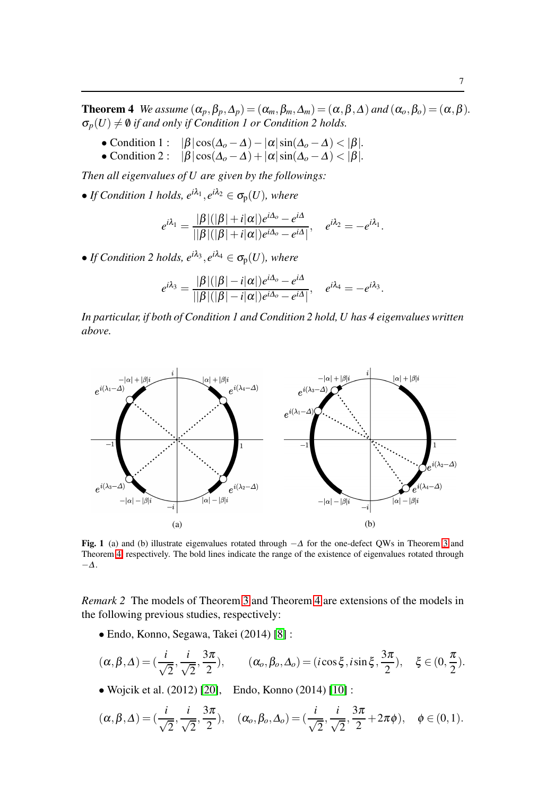.

7

**Theorem 4** *We assume*  $(\alpha_p, \beta_p, \Delta_p) = (\alpha_m, \beta_m, \Delta_m) = (\alpha, \beta, \Delta)$  *and*  $(\alpha_o, \beta_o) = (\alpha, \beta)$ *.*  $\sigma_p(U) \neq \emptyset$  *if and only if Condition 1 or Condition 2 holds.* 

- Condition 1 :  $|\beta| \cos(\Delta_o \Delta) |\alpha| \sin(\Delta_o \Delta) < |\beta|$ .
- Condition 2 :  $|\beta|\cos(\Delta_o-\Delta)+|\alpha|\sin(\Delta_o-\Delta)<|\beta|$ *.*

*Then all eigenvalues of U are given by the followings:*

• *If Condition 1 holds,*  $e^{i\lambda_1}$ ,  $e^{i\lambda_2} \in \sigma_p(U)$ *, where* 

$$
e^{i\lambda_1} = \frac{|\beta|(|\beta|+i|\alpha|)e^{i\Delta_o} - e^{i\Delta}}{||\beta|||\beta|+i|\alpha|)e^{i\Delta_o} - e^{i\Delta}|}, \quad e^{i\lambda_2} = -e^{i\lambda_1}.
$$

• *If Condition 2 holds,*  $e^{i\lambda_3}$ ,  $e^{i\lambda_4} \in \sigma_p(U)$ *, where* 

$$
e^{i\lambda_3} = \frac{|\beta|(|\beta| - i|\alpha|)e^{i\Delta_o} - e^{i\Delta}}{||\beta|||\beta| - i|\alpha|)e^{i\Delta_o} - e^{i\Delta}|}, \quad e^{i\lambda_4} = -e^{i\lambda_3}
$$

*In particular, if both of Condition 1 and Condition 2 hold, U has 4 eigenvalues written above.*



Fig. 1 (a) and (b) illustrate eigenvalues rotated through  $-\Delta$  for the one-defect QWs in Theorem [3](#page-5-1) and Theorem [4,](#page-5-2) respectively. The bold lines indicate the range of the existence of eigenvalues rotated through −<sup>∆</sup>.

*Remark 2* The models of Theorem [3](#page-5-1) and Theorem [4](#page-5-2) are extensions of the models in the following previous studies, respectively:

• Endo, Konno, Segawa, Takei (2014) [\[8\]](#page-9-13) :

$$
(\alpha, \beta, \Delta) = (\frac{i}{\sqrt{2}}, \frac{i}{\sqrt{2}}, \frac{3\pi}{2}), \qquad (\alpha_o, \beta_o, \Delta_o) = (i\cos\xi, i\sin\xi, \frac{3\pi}{2}), \quad \xi \in (0, \frac{\pi}{2}).
$$

• Wojcik et al. (2012) [\[20\]](#page-10-3), Endo, Konno (2014) [\[10\]](#page-9-14) :

<span id="page-6-0"></span>
$$
(\alpha,\beta,\Delta)=(\frac{i}{\sqrt{2}},\frac{i}{\sqrt{2}},\frac{3\pi}{2}), \quad (\alpha_o,\beta_o,\Delta_o)=(\frac{i}{\sqrt{2}},\frac{i}{\sqrt{2}},\frac{3\pi}{2}+2\pi\phi), \quad \phi\in(0,1).
$$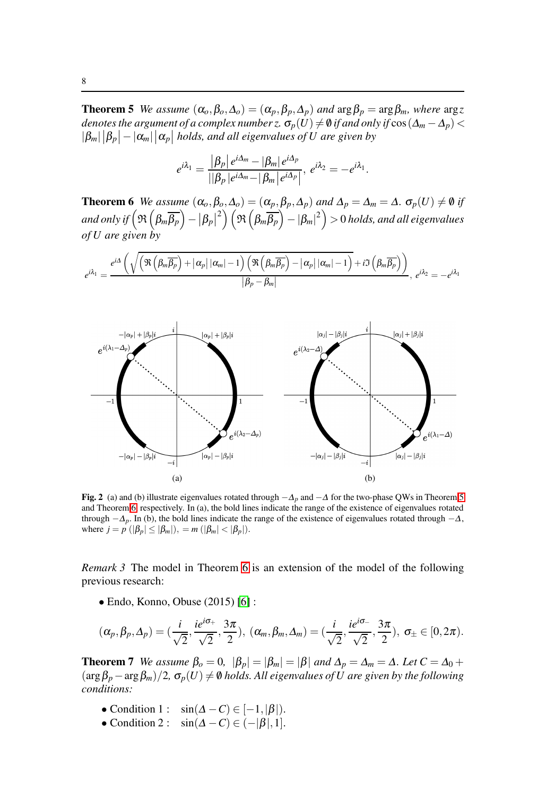**Theorem 5** *We assume*  $(\alpha_o, \beta_o, \Delta_o) = (\alpha_p, \beta_p, \Delta_p)$  *and*  $\arg \beta_p = \arg \beta_m$ *, where*  $\arg z$ *denotes the argument of a complex number z.*  $\sigma_p(U) \neq \emptyset$  *if and only if*  $\cos(\Delta_m - \Delta_p)$  <  $|\beta_m|\,|\beta_p| - |\alpha_m|\,|\alpha_p|$  holds, and all eigenvalues of U are given by

$$
e^{i\lambda_1}=\frac{|\beta_p|e^{i\Delta_m}-|\beta_m|e^{i\Delta_p}}{||\beta_p|e^{i\Delta_m}-|\beta_m|e^{i\Delta_p}|}, e^{i\lambda_2}=-e^{i\lambda_1}.
$$

<span id="page-7-0"></span>**Theorem 6** *We assume*  $(\alpha_o, \beta_o, \Delta_o) = (\alpha_p, \beta_p, \Delta_p)$  *and*  $\Delta_p = \Delta_m = \Delta$ *.*  $\sigma_p(U) \neq \emptyset$  *if* and only if  $\left(\Re\left(\beta_m \overline{\beta_p}\right) - \left|\beta_p\right|\right)$  $\binom{2}{2}\left(\mathfrak{R}\left(\beta_m \overline{\beta_p}\right)-|\beta_m|^2\right)>0$  holds, and all eigenvalues *of U are given by*

$$
e^{i\lambda_{1}}=\frac{e^{i\Delta}\left(\sqrt{\left(\Re\left(\beta_{m}\overline{\beta_{p}}\right)+\left|\alpha_{p}\right| |\alpha_{m}|-1\right)\left(\Re\left(\beta_{m}\overline{\beta_{p}}\right)-\left|\alpha_{p}\right| |\alpha_{m}|-1\right)}+i\Im\left(\beta_{m}\overline{\beta_{p}}\right)\right)}{|\beta_{p}-\beta_{m}|},\ e^{i\lambda_{2}}=-e^{i\lambda_{1}}
$$



Fig. 2 (a) and (b) illustrate eigenvalues rotated through  $-\Delta_p$  and  $-\Delta$  for the two-phase QWs in Theorem [5](#page-6-0) and Theorem [6,](#page-7-0) respectively. In (a), the bold lines indicate the range of the existence of eigenvalues rotated through  $-\Delta_p$ . In (b), the bold lines indicate the range of the existence of eigenvalues rotated through  $-\Delta$ , where  $j = p \ (|\beta_p| \leq |\beta_m|), = m \ (|\beta_m| < |\beta_p|).$ 

*Remark 3* The model in Theorem [6](#page-7-0) is an extension of the model of the following previous research:

• Endo, Konno, Obuse  $(2015)$  [\[6\]](#page-9-12):

$$
(\alpha_p,\beta_p,\Delta_p)=(\frac{i}{\sqrt{2}},\frac{ie^{i\sigma_+}}{\sqrt{2}},\frac{3\pi}{2}),\ (\alpha_m,\beta_m,\Delta_m)=(\frac{i}{\sqrt{2}},\frac{ie^{i\sigma_-}}{\sqrt{2}},\frac{3\pi}{2}),\ \sigma_{\pm}\in[0,2\pi).
$$

<span id="page-7-1"></span>**Theorem 7** *We assume*  $\beta_o = 0$ ,  $|\beta_p| = |\beta_m| = |\beta|$  *and*  $\Delta_p = \Delta_m = \Delta$ *. Let*  $C = \Delta_0 +$  $(\arg \beta_p - \arg \beta_m)/2$ ,  $\sigma_p(U) \neq \emptyset$  *holds. All eigenvalues of U are given by the following conditions:*

- Condition 1 :  $\sin(\Delta C) \in [-1, |\beta|)$ .
- Condition 2 :  $\sin(\Delta C) \in (-|\beta|, 1].$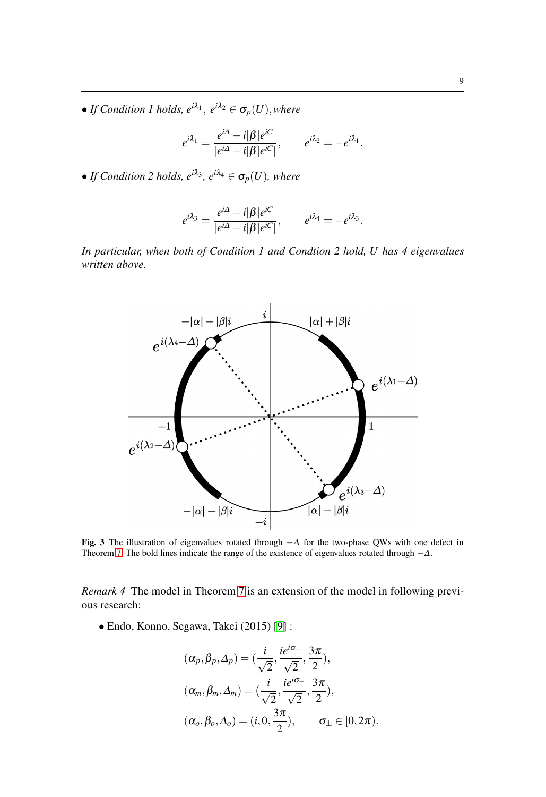• *If Condition 1 holds,*  $e^{i\lambda_1}$ ,  $e^{i\lambda_2} \in \sigma_p(U)$ *, where* 

$$
e^{i\lambda_1} = \frac{e^{i\Delta} - i|\beta|e^{iC}}{|e^{i\Delta} - i|\beta|e^{iC}|}, \qquad e^{i\lambda_2} = -e^{i\lambda_1}.
$$

• *If Condition 2 holds,*  $e^{i\lambda_3}$ *,*  $e^{i\lambda_4} \in \sigma_p(U)$ *, where* 

$$
e^{i\lambda_3} = \frac{e^{i\Delta} + i|\beta|e^{iC}}{|e^{i\Delta} + i|\beta|e^{iC}|}, \qquad e^{i\lambda_4} = -e^{i\lambda_3}.
$$

*In particular, when both of Condition 1 and Condtion 2 hold, U has 4 eigenvalues written above.*



Fig. 3 The illustration of eigenvalues rotated through  $-\Delta$  for the two-phase QWs with one defect in Theorem [7.](#page-7-1) The bold lines indicate the range of the existence of eigenvalues rotated through  $-\Delta$ .

*Remark 4* The model in Theorem [7](#page-7-1) is an extension of the model in following previous research:

• Endo, Konno, Segawa, Takei (2015) [\[9\]](#page-9-10) :

$$
(\alpha_p, \beta_p, \Delta_p) = (\frac{i}{\sqrt{2}}, \frac{ie^{i\sigma_+}}{\sqrt{2}}, \frac{3\pi}{2}),
$$
  
\n
$$
(\alpha_m, \beta_m, \Delta_m) = (\frac{i}{\sqrt{2}}, \frac{ie^{i\sigma_-}}{\sqrt{2}}, \frac{3\pi}{2}),
$$
  
\n
$$
(\alpha_o, \beta_o, \Delta_o) = (i, 0, \frac{3\pi}{2}), \qquad \sigma_{\pm} \in [0, 2\pi).
$$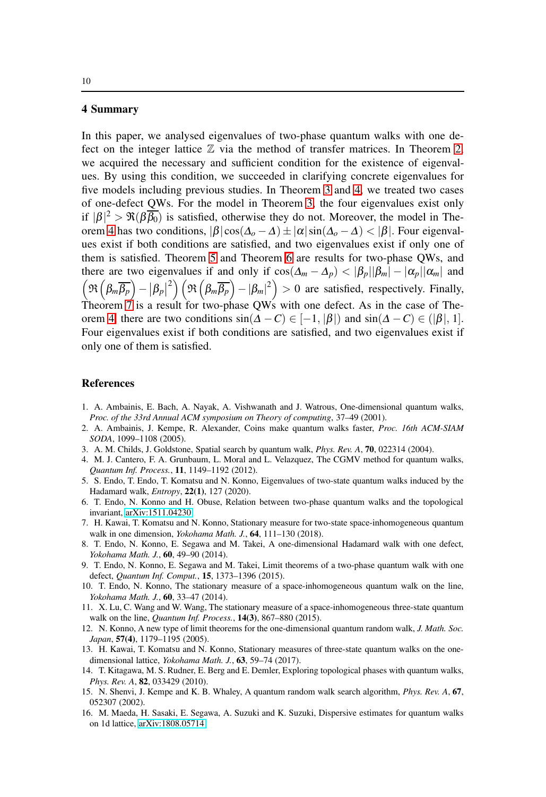### 4 Summary

In this paper, we analysed eigenvalues of two-phase quantum walks with one defect on the integer lattice  $\mathbb Z$  via the method of transfer matrices. In Theorem [2,](#page-4-0) we acquired the necessary and sufficient condition for the existence of eigenvalues. By using this condition, we succeeded in clarifying concrete eigenvalues for five models including previous studies. In Theorem [3](#page-5-1) and [4,](#page-5-2) we treated two cases of one-defect QWs. For the model in Theorem [3,](#page-5-1) the four eigenvalues exist only if  $|\beta|^2 > \Re(\beta \overline{\beta_0})$  is satisfied, otherwise they do not. Moreover, the model in The-orem [4](#page-5-2) has two conditions,  $|\beta| \cos(\Delta_o - \Delta) \pm |\alpha| \sin(\Delta_o - \Delta) < |\beta|$ . Four eigenvalues exist if both conditions are satisfied, and two eigenvalues exist if only one of them is satisfied. Theorem [5](#page-6-0) and Theorem [6](#page-7-0) are results for two-phase QWs, and there are two eigenvalues if and only if  $\cos(\Delta_m - \Delta_p) < |\beta_p||\beta_m| - |\alpha_p||\alpha_m|$  and  $\left(\Re\left(\beta_m \overline{\beta_p}\right)-\left|\beta_p\right|\right)$  $\binom{2}{2}\left(\Re\left(\beta_m\overline{\beta_p}\right)-|\beta_m|^2\right)>0$  are satisfied, respectively. Finally, Theorem  $7$  is a result for two-phase QWs with one defect. As in the case of The-orem [4,](#page-5-2) there are two conditions  $sin(\Delta - C) \in [-1, |\beta|)$  and  $sin(\Delta - C) \in (|\beta|, 1]$ . Four eigenvalues exist if both conditions are satisfied, and two eigenvalues exist if only one of them is satisfied.

# **References**

- <span id="page-9-0"></span>1. A. Ambainis, E. Bach, A. Nayak, A. Vishwanath and J. Watrous, One-dimensional quantum walks, *Proc. of the 33rd Annual ACM symposium on Theory of computing*, 37–49 (2001).
- <span id="page-9-3"></span>2. A. Ambainis, J. Kempe, R. Alexander, Coins make quantum walks faster, *Proc. 16th ACM-SIAM SODA*, 1099–1108 (2005).
- <span id="page-9-4"></span><span id="page-9-1"></span>3. A. M. Childs, J. Goldstone, Spatial search by quantum walk, *Phys. Rev. A*, 70, 022314 (2004).
- 4. M. J. Cantero, F. A. Grunbaum, L. Moral and L. Velazquez, The CGMV method for quantum walks, *Quantum Inf. Process.*, 11, 1149–1192 (2012).
- <span id="page-9-11"></span>5. S. Endo, T. Endo, T. Komatsu and N. Konno, Eigenvalues of two-state quantum walks induced by the Hadamard walk, *Entropy*, 22(1), 127 (2020).
- <span id="page-9-12"></span>6. T. Endo, N. Konno and H. Obuse, Relation between two-phase quantum walks and the topological invariant, [arXiv:1511.04230.](http://arxiv.org/abs/1511.04230)
- <span id="page-9-7"></span>7. H. Kawai, T. Komatsu and N. Konno, Stationary measure for two-state space-inhomogeneous quantum walk in one dimension, *Yokohama Math. J.*, 64, 111–130 (2018).
- <span id="page-9-13"></span>8. T. Endo, N. Konno, E. Segawa and M. Takei, A one-dimensional Hadamard walk with one defect, *Yokohama Math. J.*, 60, 49–90 (2014).
- <span id="page-9-10"></span>9. T. Endo, N. Konno, E. Segawa and M. Takei, Limit theorems of a two-phase quantum walk with one defect, *Quantum Inf. Comput.*, 15, 1373–1396 (2015).
- <span id="page-9-14"></span>10. T. Endo, N. Konno, The stationary measure of a space-inhomogeneous quantum walk on the line, *Yokohama Math. J.*, 60, 33–47 (2014).
- 11. X. Lu, C. Wang and W. Wang, The stationary measure of a space-inhomogeneous three-state quantum walk on the line, *Quantum Inf. Process.*, 14(3), 867–880 (2015).
- <span id="page-9-2"></span>12. N. Konno, A new type of limit theorems for the one-dimensional quantum random walk, *J. Math. Soc. Japan*, 57(4), 1179–1195 (2005).
- <span id="page-9-8"></span>13. H. Kawai, T. Komatsu and N. Konno, Stationary measures of three-state quantum walks on the onedimensional lattice, *Yokohama Math. J.*, 63, 59–74 (2017).
- <span id="page-9-6"></span>14. T. Kitagawa, M. S. Rudner, E. Berg and E. Demler, Exploring topological phases with quantum walks, *Phys. Rev. A*, 82, 033429 (2010).
- <span id="page-9-5"></span>15. N. Shenvi, J. Kempe and K. B. Whaley, A quantum random walk search algorithm, *Phys. Rev. A*, 67, 052307 (2002).
- <span id="page-9-9"></span>16. M. Maeda, H. Sasaki, E. Segawa, A. Suzuki and K. Suzuki, Dispersive estimates for quantum walks on 1d lattice, [arXiv:1808.05714.](http://arxiv.org/abs/1808.05714)